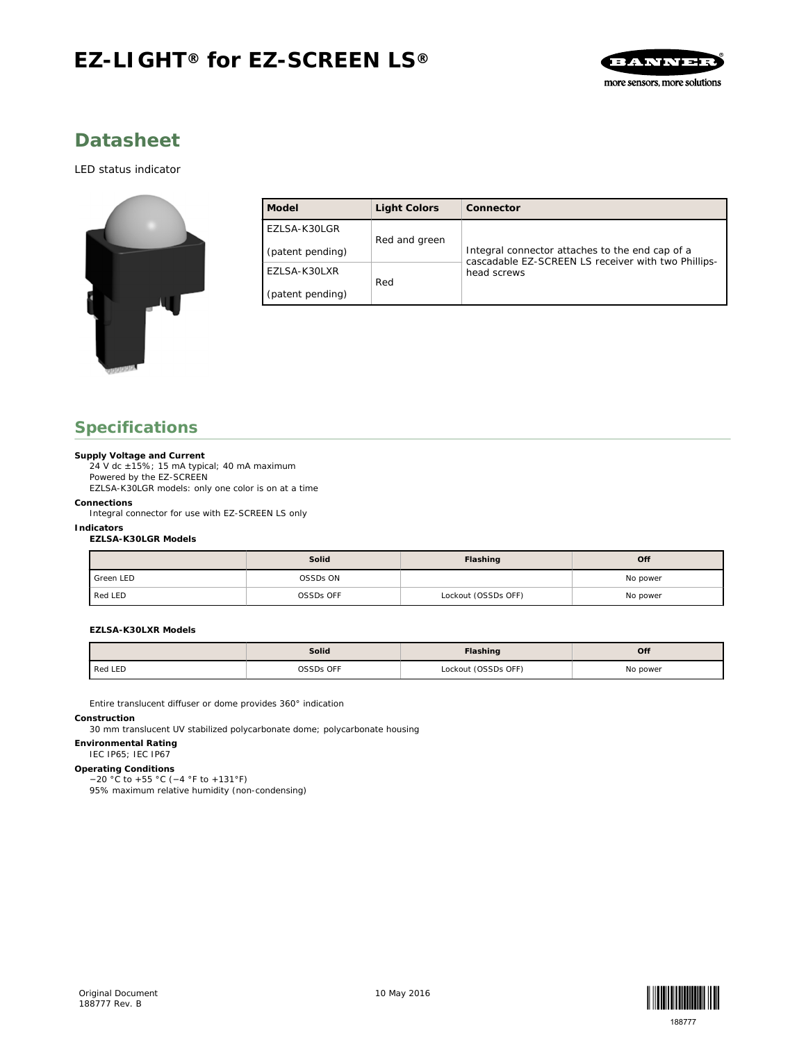# **EZ-LIGHT® for EZ-SCREEN LS®**



## **Datasheet**

#### *LED status indicator*



| Model            | Light Colors  | Connector                                                                                              |  |  |
|------------------|---------------|--------------------------------------------------------------------------------------------------------|--|--|
| EZLSA-K30LGR     |               | Integral connector attaches to the end cap of a<br>cascadable EZ-SCREEN LS receiver with two Phillips- |  |  |
| (patent pending) | Red and green |                                                                                                        |  |  |
| EZLSA-K30LXR     | Red           | head screws                                                                                            |  |  |
| (patent pending) |               |                                                                                                        |  |  |

## **Specifications**

**Supply Voltage and Current**

 $24$  V dc  $\pm 15$ %; 15 mA typical; 40 mA maximum Powered by the EZ-SCREEN

EZLSA-K30LGR models: only one color is on at a time

**Connections**

Integral connector for use with EZ-SCREEN LS only

**Indicators**

**EZLSA-K30LGR Models**

|           | Solid     | Flashing            | Off      |
|-----------|-----------|---------------------|----------|
| Green LED | OSSDs ON  |                     | No power |
| Red LED   | OSSDs OFF | Lockout (OSSDs OFF) | No power |

**EZLSA-K30LXR Models**

|         | Solid     | Flashing            | Off      |
|---------|-----------|---------------------|----------|
| Red LED | OSSDs OFF | Lockout (OSSDs OFF) | No power |

Entire translucent diffuser or dome provides 360° indication

**Construction**

30 mm translucent UV stabilized polycarbonate dome; polycarbonate housing

**Environmental Rating**

IEC IP65; IEC IP67

**Operating Conditions** −20 °C to +55 °C (−4 °F to +131°F) 95% maximum relative humidity (non-condensing)